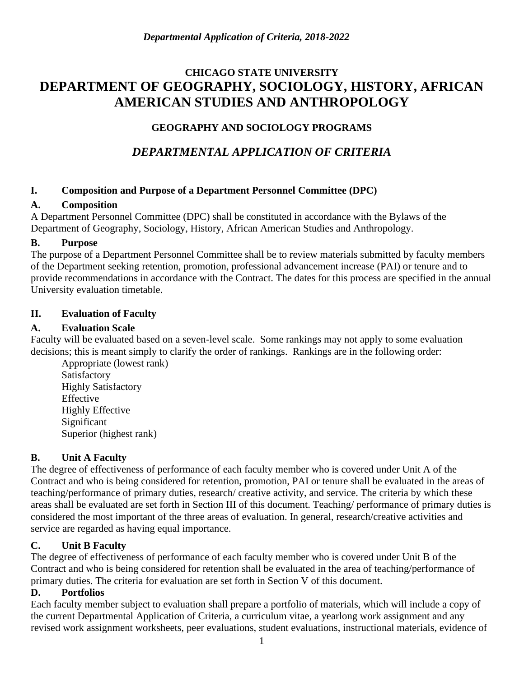# **CHICAGO STATE UNIVERSITY DEPARTMENT OF GEOGRAPHY, SOCIOLOGY, HISTORY, AFRICAN AMERICAN STUDIES AND ANTHROPOLOGY**

## **GEOGRAPHY AND SOCIOLOGY PROGRAMS**

# *DEPARTMENTAL APPLICATION OF CRITERIA*

## **I. Composition and Purpose of a Department Personnel Committee (DPC)**

## **A. Composition**

A Department Personnel Committee (DPC) shall be constituted in accordance with the Bylaws of the Department of Geography, Sociology, History, African American Studies and Anthropology.

## **B. Purpose**

The purpose of a Department Personnel Committee shall be to review materials submitted by faculty members of the Department seeking retention, promotion, professional advancement increase (PAI) or tenure and to provide recommendations in accordance with the Contract. The dates for this process are specified in the annual University evaluation timetable.

## **II. Evaluation of Faculty**

## **A. Evaluation Scale**

Faculty will be evaluated based on a seven-level scale. Some rankings may not apply to some evaluation decisions; this is meant simply to clarify the order of rankings. Rankings are in the following order:

Appropriate (lowest rank) Satisfactory Highly Satisfactory Effective Highly Effective Significant Superior (highest rank)

## **B. Unit A Faculty**

The degree of effectiveness of performance of each faculty member who is covered under Unit A of the Contract and who is being considered for retention, promotion, PAI or tenure shall be evaluated in the areas of teaching/performance of primary duties, research/ creative activity, and service. The criteria by which these areas shall be evaluated are set forth in Section III of this document. Teaching/ performance of primary duties is considered the most important of the three areas of evaluation. In general, research/creative activities and service are regarded as having equal importance.

## **C. Unit B Faculty**

The degree of effectiveness of performance of each faculty member who is covered under Unit B of the Contract and who is being considered for retention shall be evaluated in the area of teaching/performance of primary duties. The criteria for evaluation are set forth in Section V of this document.

## **D. Portfolios**

Each faculty member subject to evaluation shall prepare a portfolio of materials, which will include a copy of the current Departmental Application of Criteria, a curriculum vitae, a yearlong work assignment and any revised work assignment worksheets, peer evaluations, student evaluations, instructional materials, evidence of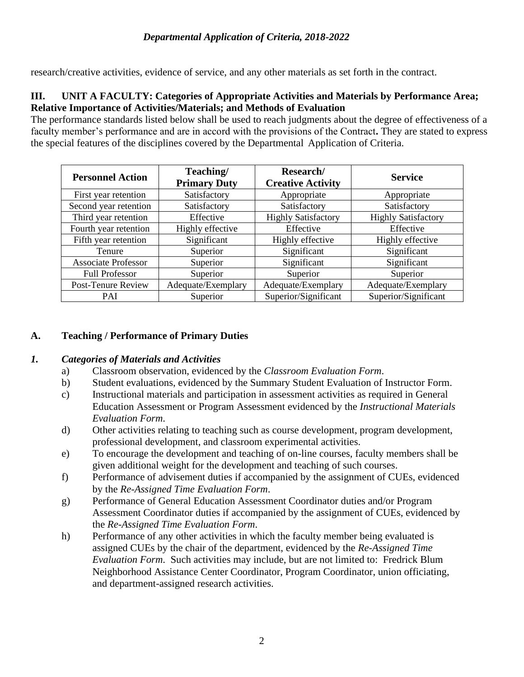research/creative activities, evidence of service, and any other materials as set forth in the contract.

### **III. UNIT A FACULTY: Categories of Appropriate Activities and Materials by Performance Area; Relative Importance of Activities/Materials; and Methods of Evaluation**

The performance standards listed below shall be used to reach judgments about the degree of effectiveness of a faculty member's performance and are in accord with the provisions of the Contract**.** They are stated to express the special features of the disciplines covered by the Departmental Application of Criteria.

| <b>Personnel Action</b>    | Teaching/<br><b>Primary Duty</b> | Research/<br><b>Creative Activity</b> | <b>Service</b>             |
|----------------------------|----------------------------------|---------------------------------------|----------------------------|
| First year retention       | Satisfactory                     | Appropriate                           | Appropriate                |
| Second year retention      | Satisfactory                     | Satisfactory                          | Satisfactory               |
| Third year retention       | Effective                        | <b>Highly Satisfactory</b>            | <b>Highly Satisfactory</b> |
| Fourth year retention      | Highly effective                 | Effective                             | Effective                  |
| Fifth year retention       | Significant                      | Highly effective                      | Highly effective           |
| <b>Tenure</b>              | Superior                         | Significant                           | Significant                |
| <b>Associate Professor</b> | Superior                         | Significant                           | Significant                |
| <b>Full Professor</b>      | Superior                         | Superior                              | Superior                   |
| Post-Tenure Review         | Adequate/Exemplary               | Adequate/Exemplary                    | Adequate/Exemplary         |
| <b>PAI</b>                 | Superior                         | Superior/Significant                  | Superior/Significant       |

### **A. Teaching / Performance of Primary Duties**

#### *1. Categories of Materials and Activities*

- a) Classroom observation, evidenced by the *Classroom Evaluation Form*.
- b) Student evaluations, evidenced by the Summary Student Evaluation of Instructor Form.
- c) Instructional materials and participation in assessment activities as required in General Education Assessment or Program Assessment evidenced by the *Instructional Materials Evaluation Form*.
- d) Other activities relating to teaching such as course development, program development, professional development, and classroom experimental activities.
- e) To encourage the development and teaching of on-line courses, faculty members shall be given additional weight for the development and teaching of such courses.
- f) Performance of advisement duties if accompanied by the assignment of CUEs, evidenced by the *Re-Assigned Time Evaluation Form*.
- g) Performance of General Education Assessment Coordinator duties and/or Program Assessment Coordinator duties if accompanied by the assignment of CUEs, evidenced by the *Re-Assigned Time Evaluation Form*.
- h) Performance of any other activities in which the faculty member being evaluated is assigned CUEs by the chair of the department, evidenced by the *Re-Assigned Time Evaluation Form*. Such activities may include, but are not limited to: Fredrick Blum Neighborhood Assistance Center Coordinator, Program Coordinator, union officiating, and department-assigned research activities.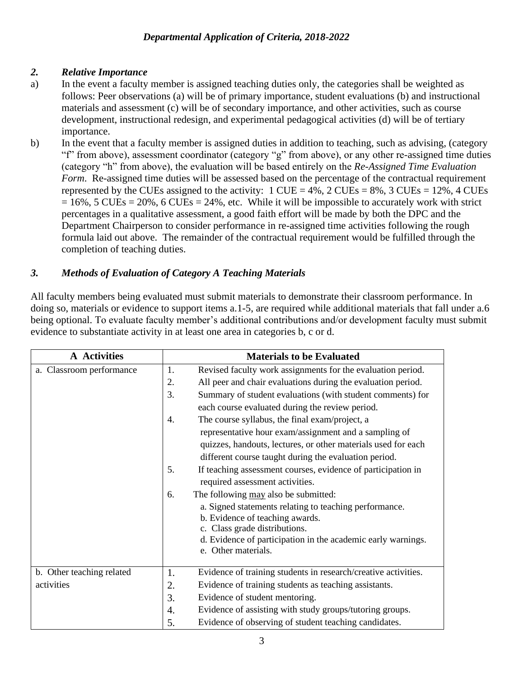## *2. Relative Importance*

- a) In the event a faculty member is assigned teaching duties only, the categories shall be weighted as follows: Peer observations (a) will be of primary importance, student evaluations (b) and instructional materials and assessment (c) will be of secondary importance, and other activities, such as course development, instructional redesign, and experimental pedagogical activities (d) will be of tertiary importance.
- b) In the event that a faculty member is assigned duties in addition to teaching, such as advising, (category "f" from above), assessment coordinator (category "g" from above), or any other re-assigned time duties (category "h" from above), the evaluation will be based entirely on the *Re-Assigned Time Evaluation Form.* Re-assigned time duties will be assessed based on the percentage of the contractual requirement represented by the CUEs assigned to the activity:  $1$  CUE = 4%,  $2$  CUEs = 8%,  $3$  CUEs = 12%,  $4$  CUEs  $= 16\%$ , 5 CUEs = 20%, 6 CUEs = 24%, etc. While it will be impossible to accurately work with strict percentages in a qualitative assessment, a good faith effort will be made by both the DPC and the Department Chairperson to consider performance in re-assigned time activities following the rough formula laid out above. The remainder of the contractual requirement would be fulfilled through the completion of teaching duties.

## *3. Methods of Evaluation of Category A Teaching Materials*

All faculty members being evaluated must submit materials to demonstrate their classroom performance. In doing so, materials or evidence to support items a.1-5, are required while additional materials that fall under a.6 being optional. To evaluate faculty member's additional contributions and/or development faculty must submit evidence to substantiate activity in at least one area in categories b, c or d.

| A Activities              | <b>Materials to be Evaluated</b>                                                              |  |
|---------------------------|-----------------------------------------------------------------------------------------------|--|
| a. Classroom performance  | 1.<br>Revised faculty work assignments for the evaluation period.                             |  |
|                           | All peer and chair evaluations during the evaluation period.<br>2.                            |  |
|                           | 3.<br>Summary of student evaluations (with student comments) for                              |  |
|                           | each course evaluated during the review period.                                               |  |
|                           | The course syllabus, the final exam/project, a<br>4.                                          |  |
|                           | representative hour exam/assignment and a sampling of                                         |  |
|                           | quizzes, handouts, lectures, or other materials used for each                                 |  |
|                           | different course taught during the evaluation period.                                         |  |
|                           | 5.<br>If teaching assessment courses, evidence of participation in                            |  |
|                           | required assessment activities.                                                               |  |
|                           | The following may also be submitted:<br>6.                                                    |  |
|                           | a. Signed statements relating to teaching performance.                                        |  |
|                           | b. Evidence of teaching awards.                                                               |  |
|                           | c. Class grade distributions.<br>d. Evidence of participation in the academic early warnings. |  |
|                           | e. Other materials.                                                                           |  |
|                           |                                                                                               |  |
| b. Other teaching related | Evidence of training students in research/creative activities.<br>1.                          |  |
| activities                | Evidence of training students as teaching assistants.<br>2.                                   |  |
|                           | Evidence of student mentoring.<br>3.                                                          |  |
|                           | Evidence of assisting with study groups/tutoring groups.<br>4.                                |  |
|                           | Evidence of observing of student teaching candidates.<br>5.                                   |  |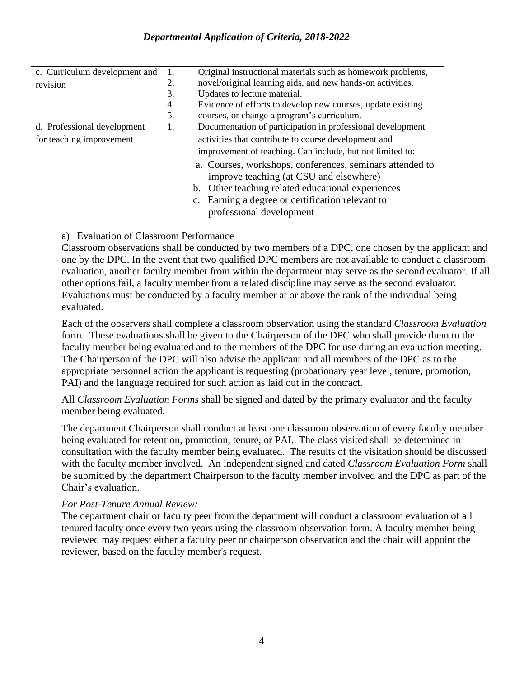| c. Curriculum development and | Original instructional materials such as homework problems,<br>1.                                   |  |
|-------------------------------|-----------------------------------------------------------------------------------------------------|--|
| revision                      | novel/original learning aids, and new hands-on activities.<br>2.                                    |  |
|                               | Updates to lecture material.<br>3.                                                                  |  |
|                               | Evidence of efforts to develop new courses, update existing<br>4.                                   |  |
|                               | courses, or change a program's curriculum.<br>5.                                                    |  |
| d. Professional development   | Documentation of participation in professional development<br>1.                                    |  |
| for teaching improvement      | activities that contribute to course development and                                                |  |
|                               | improvement of teaching. Can include, but not limited to:                                           |  |
|                               | a. Courses, workshops, conferences, seminars attended to<br>improve teaching (at CSU and elsewhere) |  |
|                               | Other teaching related educational experiences<br>b.                                                |  |
|                               | Earning a degree or certification relevant to                                                       |  |
|                               | professional development                                                                            |  |

#### a) Evaluation of Classroom Performance

Classroom observations shall be conducted by two members of a DPC, one chosen by the applicant and one by the DPC. In the event that two qualified DPC members are not available to conduct a classroom evaluation, another faculty member from within the department may serve as the second evaluator. If all other options fail, a faculty member from a related discipline may serve as the second evaluator. Evaluations must be conducted by a faculty member at or above the rank of the individual being evaluated.

Each of the observers shall complete a classroom observation using the standard *Classroom Evaluation*  form. These evaluations shall be given to the Chairperson of the DPC who shall provide them to the faculty member being evaluated and to the members of the DPC for use during an evaluation meeting. The Chairperson of the DPC will also advise the applicant and all members of the DPC as to the appropriate personnel action the applicant is requesting (probationary year level, tenure, promotion, PAI) and the language required for such action as laid out in the contract.

All *Classroom Evaluation Forms* shall be signed and dated by the primary evaluator and the faculty member being evaluated.

The department Chairperson shall conduct at least one classroom observation of every faculty member being evaluated for retention, promotion, tenure, or PAI. The class visited shall be determined in consultation with the faculty member being evaluated. The results of the visitation should be discussed with the faculty member involved. An independent signed and dated *Classroom Evaluation Form* shall be submitted by the department Chairperson to the faculty member involved and the DPC as part of the Chair's evaluation.

#### *For Post-Tenure Annual Review:*

The department chair or faculty peer from the department will conduct a classroom evaluation of all tenured faculty once every two years using the classroom observation form. A faculty member being reviewed may request either a faculty peer or chairperson observation and the chair will appoint the reviewer, based on the faculty member's request.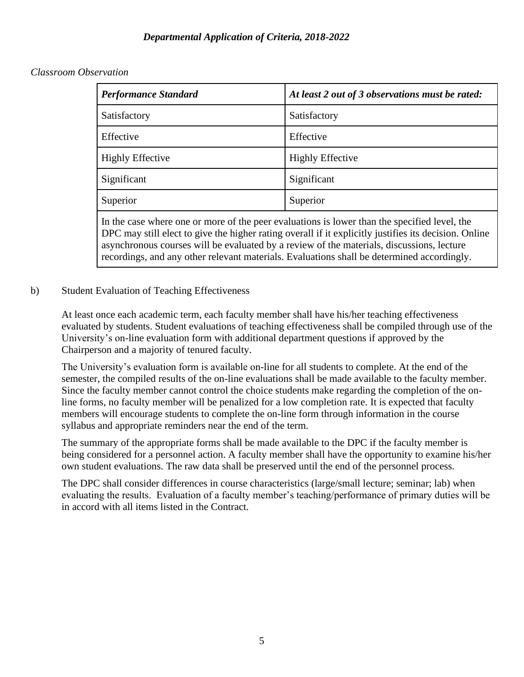#### *Classroom Observation*

| <b>Performance Standard</b> | At least 2 out of 3 observations must be rated: |
|-----------------------------|-------------------------------------------------|
| Satisfactory                | Satisfactory                                    |
| Effective                   | Effective                                       |
| <b>Highly Effective</b>     | <b>Highly Effective</b>                         |
| Significant                 | Significant                                     |
| Superior                    | Superior                                        |

In the case where one or more of the peer evaluations is lower than the specified level, the DPC may still elect to give the higher rating overall if it explicitly justifies its decision. Online asynchronous courses will be evaluated by a review of the materials, discussions, lecture recordings, and any other relevant materials. Evaluations shall be determined accordingly.

#### b) Student Evaluation of Teaching Effectiveness

At least once each academic term, each faculty member shall have his/her teaching effectiveness evaluated by students. Student evaluations of teaching effectiveness shall be compiled through use of the University's on-line evaluation form with additional department questions if approved by the Chairperson and a majority of tenured faculty.

The University's evaluation form is available on-line for all students to complete. At the end of the semester, the compiled results of the on-line evaluations shall be made available to the faculty member. Since the faculty member cannot control the choice students make regarding the completion of the online forms, no faculty member will be penalized for a low completion rate. It is expected that faculty members will encourage students to complete the on-line form through information in the course syllabus and appropriate reminders near the end of the term.

The summary of the appropriate forms shall be made available to the DPC if the faculty member is being considered for a personnel action. A faculty member shall have the opportunity to examine his/her own student evaluations. The raw data shall be preserved until the end of the personnel process.

The DPC shall consider differences in course characteristics (large/small lecture; seminar; lab) when evaluating the results. Evaluation of a faculty member's teaching/performance of primary duties will be in accord with all items listed in the Contract.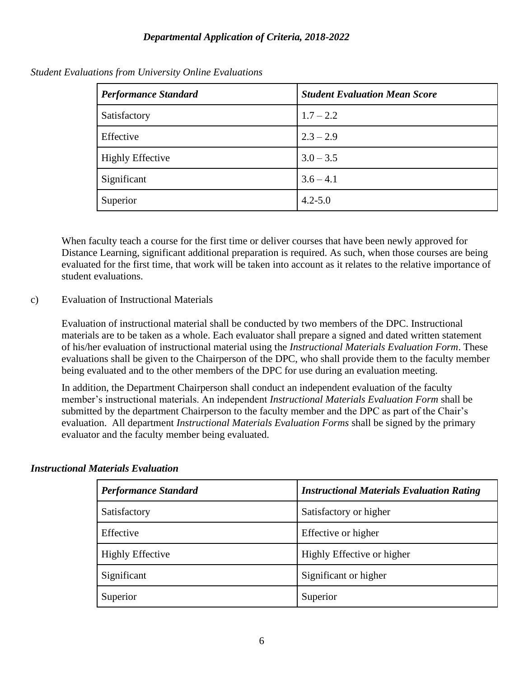| <b>Performance Standard</b> | <b>Student Evaluation Mean Score</b> |  |
|-----------------------------|--------------------------------------|--|
| Satisfactory                | $1.7 - 2.2$                          |  |
| Effective                   | $2.3 - 2.9$                          |  |
| <b>Highly Effective</b>     | $3.0 - 3.5$                          |  |
| Significant                 | $3.6 - 4.1$                          |  |
| Superior                    | $4.2 - 5.0$                          |  |

*Student Evaluations from University Online Evaluations*

When faculty teach a course for the first time or deliver courses that have been newly approved for Distance Learning, significant additional preparation is required. As such, when those courses are being evaluated for the first time, that work will be taken into account as it relates to the relative importance of student evaluations.

#### c) Evaluation of Instructional Materials

Evaluation of instructional material shall be conducted by two members of the DPC. Instructional materials are to be taken as a whole. Each evaluator shall prepare a signed and dated written statement of his/her evaluation of instructional material using the *Instructional Materials Evaluation Form*. These evaluations shall be given to the Chairperson of the DPC, who shall provide them to the faculty member being evaluated and to the other members of the DPC for use during an evaluation meeting.

In addition, the Department Chairperson shall conduct an independent evaluation of the faculty member's instructional materials. An independent *Instructional Materials Evaluation Form* shall be submitted by the department Chairperson to the faculty member and the DPC as part of the Chair's evaluation. All department *Instructional Materials Evaluation Forms* shall be signed by the primary evaluator and the faculty member being evaluated.

#### *Instructional Materials Evaluation*

| <b>Performance Standard</b> | <b>Instructional Materials Evaluation Rating</b> |
|-----------------------------|--------------------------------------------------|
| Satisfactory                | Satisfactory or higher                           |
| Effective                   | Effective or higher                              |
| <b>Highly Effective</b>     | Highly Effective or higher                       |
| Significant                 | Significant or higher                            |
| Superior                    | Superior                                         |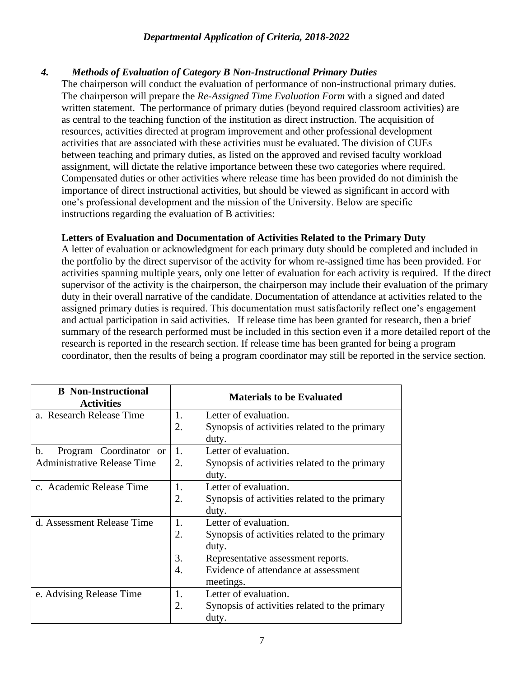### *4. Methods of Evaluation of Category B Non-Instructional Primary Duties*

The chairperson will conduct the evaluation of performance of non-instructional primary duties. The chairperson will prepare the *Re-Assigned Time Evaluation Form* with a signed and dated written statement. The performance of primary duties (beyond required classroom activities) are as central to the teaching function of the institution as direct instruction. The acquisition of resources, activities directed at program improvement and other professional development activities that are associated with these activities must be evaluated. The division of CUEs between teaching and primary duties, as listed on the approved and revised faculty workload assignment, will dictate the relative importance between these two categories where required. Compensated duties or other activities where release time has been provided do not diminish the importance of direct instructional activities, but should be viewed as significant in accord with one's professional development and the mission of the University. Below are specific instructions regarding the evaluation of B activities:

#### **Letters of Evaluation and Documentation of Activities Related to the Primary Duty**

A letter of evaluation or acknowledgment for each primary duty should be completed and included in the portfolio by the direct supervisor of the activity for whom re-assigned time has been provided. For activities spanning multiple years, only one letter of evaluation for each activity is required. If the direct supervisor of the activity is the chairperson, the chairperson may include their evaluation of the primary duty in their overall narrative of the candidate. Documentation of attendance at activities related to the assigned primary duties is required. This documentation must satisfactorily reflect one's engagement and actual participation in said activities. If release time has been granted for research, then a brief summary of the research performed must be included in this section even if a more detailed report of the research is reported in the research section. If release time has been granted for being a program coordinator, then the results of being a program coordinator may still be reported in the service section.

| <b>B</b> Non-Instructional<br><b>Activities</b> |    | <b>Materials to be Evaluated</b>              |
|-------------------------------------------------|----|-----------------------------------------------|
| a. Research Release Time                        | 1. | Letter of evaluation.                         |
|                                                 | 2. | Synopsis of activities related to the primary |
|                                                 |    | duty.                                         |
| b.<br>Program Coordinator or                    | 1. | Letter of evaluation.                         |
| <b>Administrative Release Time</b>              | 2. | Synopsis of activities related to the primary |
|                                                 |    | duty.                                         |
| c. Academic Release Time                        | 1. | Letter of evaluation.                         |
|                                                 | 2. | Synopsis of activities related to the primary |
|                                                 |    | duty.                                         |
| d. Assessment Release Time                      | 1. | Letter of evaluation.                         |
|                                                 | 2. | Synopsis of activities related to the primary |
|                                                 |    | duty.                                         |
|                                                 | 3. | Representative assessment reports.            |
|                                                 | 4. | Evidence of attendance at assessment          |
|                                                 |    | meetings.                                     |
| e. Advising Release Time                        | 1. | Letter of evaluation.                         |
|                                                 | 2. | Synopsis of activities related to the primary |
|                                                 |    | duty.                                         |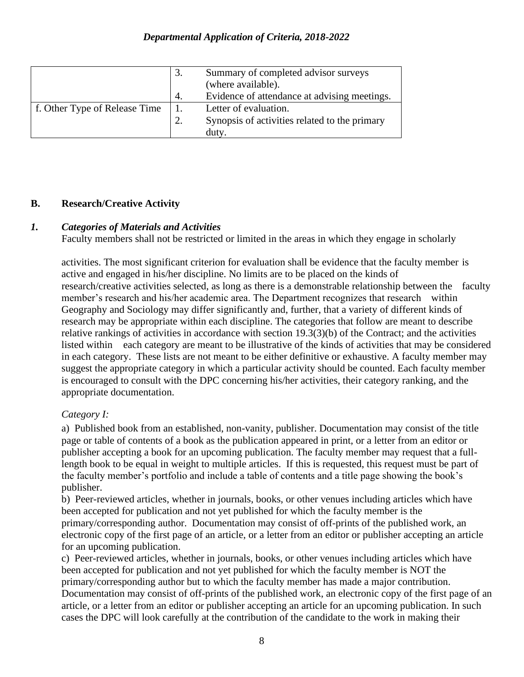|                               | Summary of completed advisor surveys          |
|-------------------------------|-----------------------------------------------|
|                               | (where available).                            |
|                               | Evidence of attendance at advising meetings.  |
| f. Other Type of Release Time | Letter of evaluation.                         |
|                               | Synopsis of activities related to the primary |
|                               | duty                                          |

#### **B. Research/Creative Activity**

#### *1. Categories of Materials and Activities*

Faculty members shall not be restricted or limited in the areas in which they engage in scholarly

activities. The most significant criterion for evaluation shall be evidence that the faculty member is active and engaged in his/her discipline. No limits are to be placed on the kinds of research/creative activities selected, as long as there is a demonstrable relationship between the faculty member's research and his/her academic area. The Department recognizes that research within Geography and Sociology may differ significantly and, further, that a variety of different kinds of research may be appropriate within each discipline. The categories that follow are meant to describe relative rankings of activities in accordance with section 19.3(3)(b) of the Contract; and the activities listed within each category are meant to be illustrative of the kinds of activities that may be considered in each category. These lists are not meant to be either definitive or exhaustive. A faculty member may suggest the appropriate category in which a particular activity should be counted. Each faculty member is encouraged to consult with the DPC concerning his/her activities, their category ranking, and the appropriate documentation.

#### *Category I:*

a) Published book from an established, non-vanity, publisher. Documentation may consist of the title page or table of contents of a book as the publication appeared in print, or a letter from an editor or publisher accepting a book for an upcoming publication. The faculty member may request that a fulllength book to be equal in weight to multiple articles. If this is requested, this request must be part of the faculty member's portfolio and include a table of contents and a title page showing the book's publisher.

b) Peer-reviewed articles, whether in journals, books, or other venues including articles which have been accepted for publication and not yet published for which the faculty member is the primary/corresponding author. Documentation may consist of off-prints of the published work, an electronic copy of the first page of an article, or a letter from an editor or publisher accepting an article for an upcoming publication.

c) Peer-reviewed articles, whether in journals, books, or other venues including articles which have been accepted for publication and not yet published for which the faculty member is NOT the primary/corresponding author but to which the faculty member has made a major contribution. Documentation may consist of off-prints of the published work, an electronic copy of the first page of an article, or a letter from an editor or publisher accepting an article for an upcoming publication. In such cases the DPC will look carefully at the contribution of the candidate to the work in making their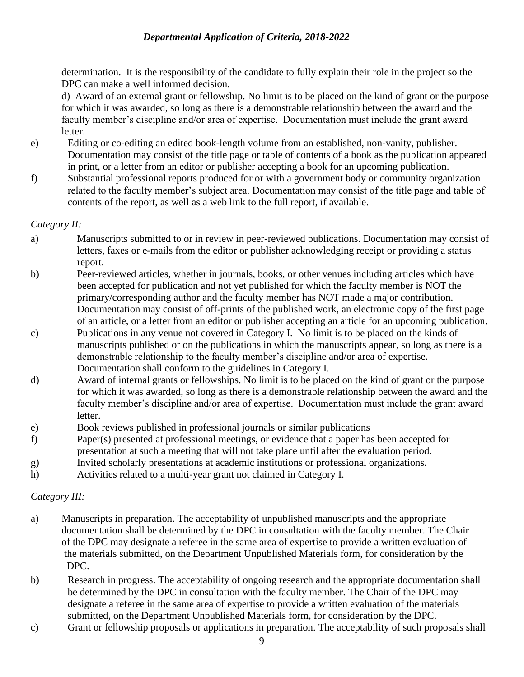determination. It is the responsibility of the candidate to fully explain their role in the project so the DPC can make a well informed decision.

d) Award of an external grant or fellowship. No limit is to be placed on the kind of grant or the purpose for which it was awarded, so long as there is a demonstrable relationship between the award and the faculty member's discipline and/or area of expertise. Documentation must include the grant award letter.

- e) Editing or co-editing an edited book-length volume from an established, non-vanity, publisher. Documentation may consist of the title page or table of contents of a book as the publication appeared in print, or a letter from an editor or publisher accepting a book for an upcoming publication.
- f) Substantial professional reports produced for or with a government body or community organization related to the faculty member's subject area. Documentation may consist of the title page and table of contents of the report, as well as a web link to the full report, if available.

#### *Category II:*

- a) Manuscripts submitted to or in review in peer-reviewed publications. Documentation may consist of letters, faxes or e-mails from the editor or publisher acknowledging receipt or providing a status report.
- b) Peer-reviewed articles, whether in journals, books, or other venues including articles which have been accepted for publication and not yet published for which the faculty member is NOT the primary/corresponding author and the faculty member has NOT made a major contribution. Documentation may consist of off-prints of the published work, an electronic copy of the first page of an article, or a letter from an editor or publisher accepting an article for an upcoming publication.
- c) Publications in any venue not covered in Category I. No limit is to be placed on the kinds of manuscripts published or on the publications in which the manuscripts appear, so long as there is a demonstrable relationship to the faculty member's discipline and/or area of expertise. Documentation shall conform to the guidelines in Category I.
- d) Award of internal grants or fellowships. No limit is to be placed on the kind of grant or the purpose for which it was awarded, so long as there is a demonstrable relationship between the award and the faculty member's discipline and/or area of expertise. Documentation must include the grant award letter.
- e) Book reviews published in professional journals or similar publications
- f) Paper(s) presented at professional meetings, or evidence that a paper has been accepted for presentation at such a meeting that will not take place until after the evaluation period.
- g) Invited scholarly presentations at academic institutions or professional organizations.
- h) Activities related to a multi-year grant not claimed in Category I.

#### *Category III:*

- a)Manuscripts in preparation. The acceptability of unpublished manuscripts and the appropriate documentation shall be determined by the DPC in consultation with the faculty member. The Chair of the DPC may designate a referee in the same area of expertise to provide a written evaluation of the materials submitted, on the Department Unpublished Materials form, for consideration by the DPC.
- b) Research in progress. The acceptability of ongoing research and the appropriate documentation shall be determined by the DPC in consultation with the faculty member. The Chair of the DPC may designate a referee in the same area of expertise to provide a written evaluation of the materials submitted, on the Department Unpublished Materials form, for consideration by the DPC.
- c) Grant or fellowship proposals or applications in preparation. The acceptability of such proposals shall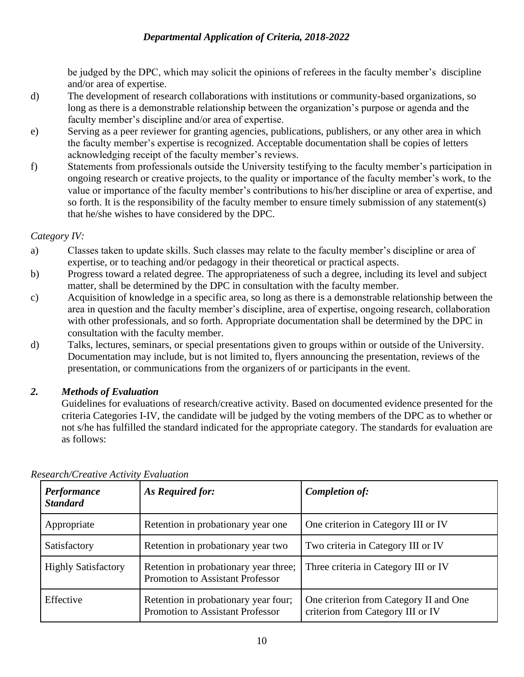be judged by the DPC, which may solicit the opinions of referees in the faculty member's discipline and/or area of expertise.

- d) The development of research collaborations with institutions or community-based organizations, so long as there is a demonstrable relationship between the organization's purpose or agenda and the faculty member's discipline and/or area of expertise.
- e) Serving as a peer reviewer for granting agencies, publications, publishers, or any other area in which the faculty member's expertise is recognized. Acceptable documentation shall be copies of letters acknowledging receipt of the faculty member's reviews.
- f) Statements from professionals outside the University testifying to the faculty member's participation in ongoing research or creative projects, to the quality or importance of the faculty member's work, to the value or importance of the faculty member's contributions to his/her discipline or area of expertise, and so forth. It is the responsibility of the faculty member to ensure timely submission of any statement(s) that he/she wishes to have considered by the DPC.

## *Category IV:*

- a) Classes taken to update skills. Such classes may relate to the faculty member's discipline or area of expertise, or to teaching and/or pedagogy in their theoretical or practical aspects.
- b) Progress toward a related degree. The appropriateness of such a degree, including its level and subject matter, shall be determined by the DPC in consultation with the faculty member.
- c) Acquisition of knowledge in a specific area, so long as there is a demonstrable relationship between the area in question and the faculty member's discipline, area of expertise, ongoing research, collaboration with other professionals, and so forth. Appropriate documentation shall be determined by the DPC in consultation with the faculty member.
- d) Talks, lectures, seminars, or special presentations given to groups within or outside of the University. Documentation may include, but is not limited to, flyers announcing the presentation, reviews of the presentation, or communications from the organizers of or participants in the event.

## *2. Methods of Evaluation*

Guidelines for evaluations of research/creative activity. Based on documented evidence presented for the criteria Categories I-IV, the candidate will be judged by the voting members of the DPC as to whether or not s/he has fulfilled the standard indicated for the appropriate category. The standards for evaluation are as follows:

| Performance<br><b>Standard</b> | As Required for:                                                          | <b>Completion of:</b>                                                       |
|--------------------------------|---------------------------------------------------------------------------|-----------------------------------------------------------------------------|
| Appropriate                    | Retention in probationary year one                                        | One criterion in Category III or IV                                         |
| Satisfactory                   | Retention in probationary year two                                        | Two criteria in Category III or IV                                          |
| <b>Highly Satisfactory</b>     | Retention in probationary year three;<br>Promotion to Assistant Professor | Three criteria in Category III or IV                                        |
| Effective                      | Retention in probationary year four;<br>Promotion to Assistant Professor  | One criterion from Category II and One<br>criterion from Category III or IV |

*Research/Creative Activity Evaluation*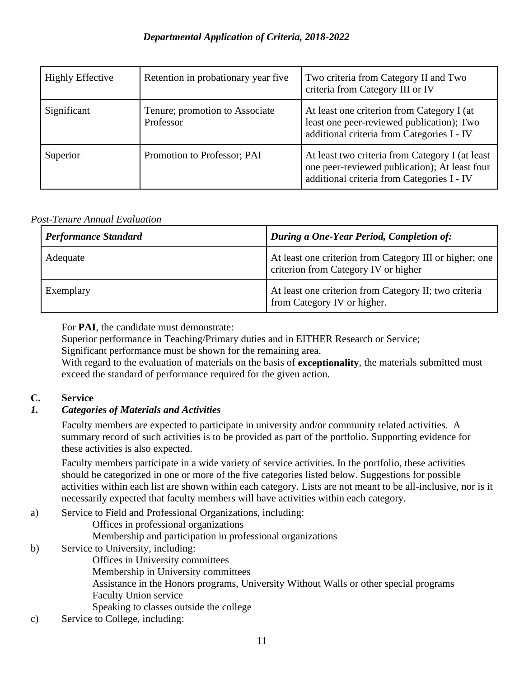| <b>Highly Effective</b> | Retention in probationary year five         | Two criteria from Category II and Two<br>criteria from Category III or IV                                                                      |
|-------------------------|---------------------------------------------|------------------------------------------------------------------------------------------------------------------------------------------------|
| Significant             | Tenure; promotion to Associate<br>Professor | At least one criterion from Category I (at<br>least one peer-reviewed publication); Two<br>additional criteria from Categories I - IV          |
| Superior                | Promotion to Professor; PAI                 | At least two criteria from Category I (at least<br>one peer-reviewed publication); At least four<br>additional criteria from Categories I - IV |

## *Post-Tenure Annual Evaluation*

| <b>Performance Standard</b> | During a One-Year Period, Completion of:                                                        |
|-----------------------------|-------------------------------------------------------------------------------------------------|
| Adequate                    | At least one criterion from Category III or higher; one<br>criterion from Category IV or higher |
| Exemplary                   | At least one criterion from Category II; two criteria<br>from Category IV or higher.            |

For **PAI**, the candidate must demonstrate:

Superior performance in Teaching/Primary duties and in EITHER Research or Service;

Significant performance must be shown for the remaining area.

With regard to the evaluation of materials on the basis of **exceptionality**, the materials submitted must exceed the standard of performance required for the given action.

#### **C. Service**

## *1. Categories of Materials and Activities*

Faculty members are expected to participate in university and/or community related activities. A summary record of such activities is to be provided as part of the portfolio. Supporting evidence for these activities is also expected.

Faculty members participate in a wide variety of service activities. In the portfolio, these activities should be categorized in one or more of the five categories listed below. Suggestions for possible activities within each list are shown within each category. Lists are not meant to be all-inclusive, nor is it necessarily expected that faculty members will have activities within each category.

- a) Service to Field and Professional Organizations, including:
	- Offices in professional organizations
	- Membership and participation in professional organizations
- b) Service to University, including:
	- Offices in University committees
	- Membership in University committees
	- Assistance in the Honors programs, University Without Walls or other special programs
	- Faculty Union service
	- Speaking to classes outside the college
- c) Service to College, including: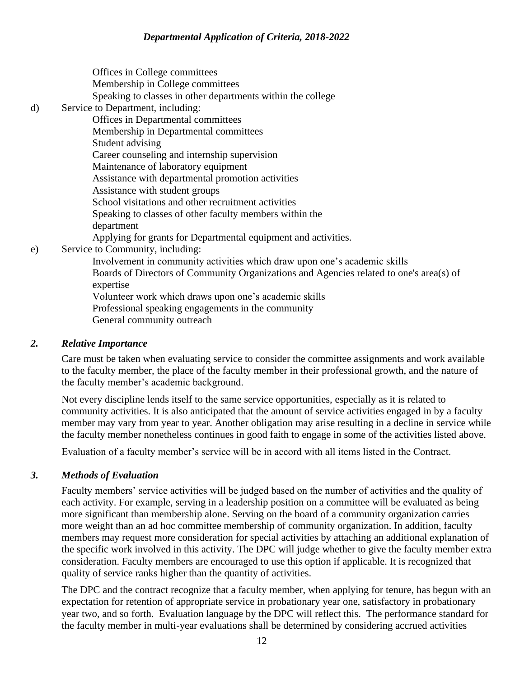Offices in College committees Membership in College committees Speaking to classes in other departments within the college d) Service to Department, including: Offices in Departmental committees Membership in Departmental committees Student advising Career counseling and internship supervision Maintenance of laboratory equipment Assistance with departmental promotion activities Assistance with student groups School visitations and other recruitment activities Speaking to classes of other faculty members within the department Applying for grants for Departmental equipment and activities. e) Service to Community, including: Involvement in community activities which draw upon one's academic skills Boards of Directors of Community Organizations and Agencies related to one's area(s) of expertise Volunteer work which draws upon one's academic skills Professional speaking engagements in the community

General community outreach

#### *2. Relative Importance*

Care must be taken when evaluating service to consider the committee assignments and work available to the faculty member, the place of the faculty member in their professional growth, and the nature of the faculty member's academic background.

Not every discipline lends itself to the same service opportunities, especially as it is related to community activities. It is also anticipated that the amount of service activities engaged in by a faculty member may vary from year to year. Another obligation may arise resulting in a decline in service while the faculty member nonetheless continues in good faith to engage in some of the activities listed above.

Evaluation of a faculty member's service will be in accord with all items listed in the Contract.

#### *3. Methods of Evaluation*

Faculty members' service activities will be judged based on the number of activities and the quality of each activity. For example, serving in a leadership position on a committee will be evaluated as being more significant than membership alone. Serving on the board of a community organization carries more weight than an ad hoc committee membership of community organization. In addition, faculty members may request more consideration for special activities by attaching an additional explanation of the specific work involved in this activity. The DPC will judge whether to give the faculty member extra consideration. Faculty members are encouraged to use this option if applicable. It is recognized that quality of service ranks higher than the quantity of activities.

The DPC and the contract recognize that a faculty member, when applying for tenure, has begun with an expectation for retention of appropriate service in probationary year one, satisfactory in probationary year two, and so forth. Evaluation language by the DPC will reflect this. The performance standard for the faculty member in multi-year evaluations shall be determined by considering accrued activities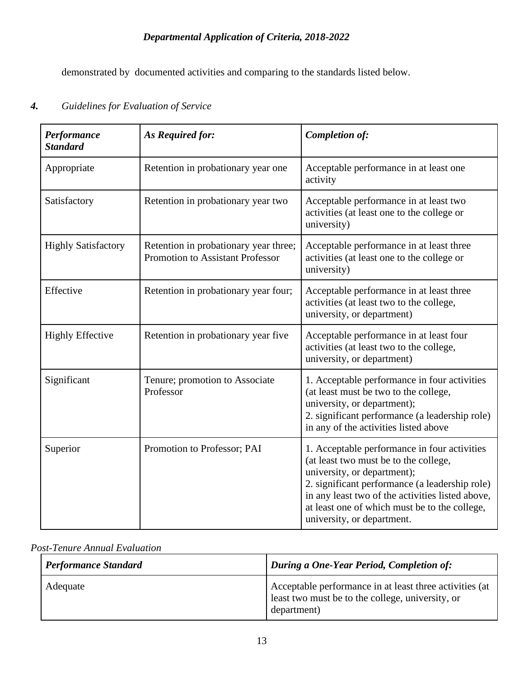demonstrated by documented activities and comparing to the standards listed below.

## *4. Guidelines for Evaluation of Service*

| Performance<br><b>Standard</b> | As Required for:                                                          | Completion of:                                                                                                                                                                                                                                                                                            |
|--------------------------------|---------------------------------------------------------------------------|-----------------------------------------------------------------------------------------------------------------------------------------------------------------------------------------------------------------------------------------------------------------------------------------------------------|
| Appropriate                    | Retention in probationary year one                                        | Acceptable performance in at least one<br>activity                                                                                                                                                                                                                                                        |
| Satisfactory                   | Retention in probationary year two                                        | Acceptable performance in at least two<br>activities (at least one to the college or<br>university)                                                                                                                                                                                                       |
| <b>Highly Satisfactory</b>     | Retention in probationary year three;<br>Promotion to Assistant Professor | Acceptable performance in at least three<br>activities (at least one to the college or<br>university)                                                                                                                                                                                                     |
| Effective                      | Retention in probationary year four;                                      | Acceptable performance in at least three<br>activities (at least two to the college,<br>university, or department)                                                                                                                                                                                        |
| <b>Highly Effective</b>        | Retention in probationary year five                                       | Acceptable performance in at least four<br>activities (at least two to the college,<br>university, or department)                                                                                                                                                                                         |
| Significant                    | Tenure; promotion to Associate<br>Professor                               | 1. Acceptable performance in four activities<br>(at least must be two to the college,<br>university, or department);<br>2. significant performance (a leadership role)<br>in any of the activities listed above                                                                                           |
| Superior                       | Promotion to Professor; PAI                                               | 1. Acceptable performance in four activities<br>(at least two must be to the college,<br>university, or department);<br>2. significant performance (a leadership role)<br>in any least two of the activities listed above,<br>at least one of which must be to the college,<br>university, or department. |

## *Post-Tenure Annual Evaluation*

| <b>Performance Standard</b> | During a One-Year Period, Completion of:                                                                                   |
|-----------------------------|----------------------------------------------------------------------------------------------------------------------------|
| Adequate                    | Acceptable performance in at least three activities (at<br>least two must be to the college, university, or<br>department) |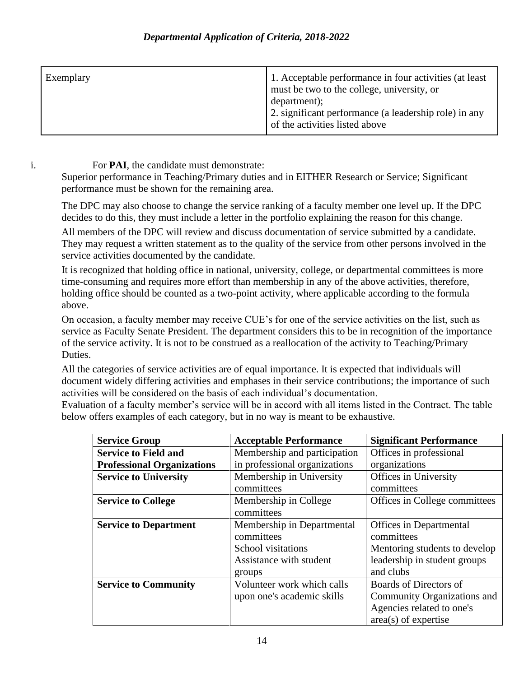| Exemplary | 1. Acceptable performance in four activities (at least)<br>must be two to the college, university, or |
|-----------|-------------------------------------------------------------------------------------------------------|
|           | department);                                                                                          |
|           | 2. significant performance (a leadership role) in any<br>of the activities listed above               |

i. For **PAI**, the candidate must demonstrate:

Superior performance in Teaching/Primary duties and in EITHER Research or Service; Significant performance must be shown for the remaining area.

The DPC may also choose to change the service ranking of a faculty member one level up. If the DPC decides to do this, they must include a letter in the portfolio explaining the reason for this change.

All members of the DPC will review and discuss documentation of service submitted by a candidate. They may request a written statement as to the quality of the service from other persons involved in the service activities documented by the candidate.

It is recognized that holding office in national, university, college, or departmental committees is more time-consuming and requires more effort than membership in any of the above activities, therefore, holding office should be counted as a two-point activity, where applicable according to the formula above.

On occasion, a faculty member may receive CUE's for one of the service activities on the list, such as service as Faculty Senate President. The department considers this to be in recognition of the importance of the service activity. It is not to be construed as a reallocation of the activity to Teaching/Primary Duties.

All the categories of service activities are of equal importance. It is expected that individuals will document widely differing activities and emphases in their service contributions; the importance of such activities will be considered on the basis of each individual's documentation.

Evaluation of a faculty member's service will be in accord with all items listed in the Contract. The table below offers examples of each category, but in no way is meant to be exhaustive.

| <b>Service Group</b>              | <b>Acceptable Performance</b> | <b>Significant Performance</b> |
|-----------------------------------|-------------------------------|--------------------------------|
| <b>Service to Field and</b>       | Membership and participation  | Offices in professional        |
| <b>Professional Organizations</b> | in professional organizations | organizations                  |
| <b>Service to University</b>      | Membership in University      | Offices in University          |
|                                   | committees                    | committees                     |
| <b>Service to College</b>         | Membership in College         | Offices in College committees  |
|                                   | committees                    |                                |
| <b>Service to Department</b>      | Membership in Departmental    | Offices in Departmental        |
|                                   | committees                    | committees                     |
|                                   | School visitations            | Mentoring students to develop  |
|                                   | Assistance with student       | leadership in student groups   |
|                                   | groups                        | and clubs                      |
| <b>Service to Community</b>       | Volunteer work which calls    | Boards of Directors of         |
|                                   | upon one's academic skills    | Community Organizations and    |
|                                   |                               | Agencies related to one's      |
|                                   |                               | $area(s)$ of expertise         |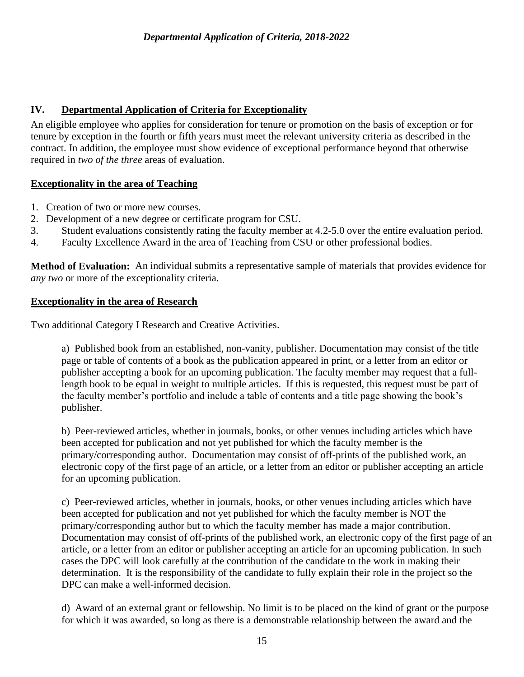## **IV. Departmental Application of Criteria for Exceptionality**

An eligible employee who applies for consideration for tenure or promotion on the basis of exception or for tenure by exception in the fourth or fifth years must meet the relevant university criteria as described in the contract. In addition, the employee must show evidence of exceptional performance beyond that otherwise required in *two of the three* areas of evaluation.

#### **Exceptionality in the area of Teaching**

- 1. Creation of two or more new courses.
- 2. Development of a new degree or certificate program for CSU.
- 3. Student evaluations consistently rating the faculty member at 4.2-5.0 over the entire evaluation period.
- 4. Faculty Excellence Award in the area of Teaching from CSU or other professional bodies.

**Method of Evaluation:** An individual submits a representative sample of materials that provides evidence for *any two* or more of the exceptionality criteria.

#### **Exceptionality in the area of Research**

Two additional Category I Research and Creative Activities.

a) Published book from an established, non-vanity, publisher. Documentation may consist of the title page or table of contents of a book as the publication appeared in print, or a letter from an editor or publisher accepting a book for an upcoming publication. The faculty member may request that a fulllength book to be equal in weight to multiple articles. If this is requested, this request must be part of the faculty member's portfolio and include a table of contents and a title page showing the book's publisher.

b) Peer-reviewed articles, whether in journals, books, or other venues including articles which have been accepted for publication and not yet published for which the faculty member is the primary/corresponding author. Documentation may consist of off-prints of the published work, an electronic copy of the first page of an article, or a letter from an editor or publisher accepting an article for an upcoming publication.

c) Peer-reviewed articles, whether in journals, books, or other venues including articles which have been accepted for publication and not yet published for which the faculty member is NOT the primary/corresponding author but to which the faculty member has made a major contribution. Documentation may consist of off-prints of the published work, an electronic copy of the first page of an article, or a letter from an editor or publisher accepting an article for an upcoming publication. In such cases the DPC will look carefully at the contribution of the candidate to the work in making their determination. It is the responsibility of the candidate to fully explain their role in the project so the DPC can make a well-informed decision.

d) Award of an external grant or fellowship. No limit is to be placed on the kind of grant or the purpose for which it was awarded, so long as there is a demonstrable relationship between the award and the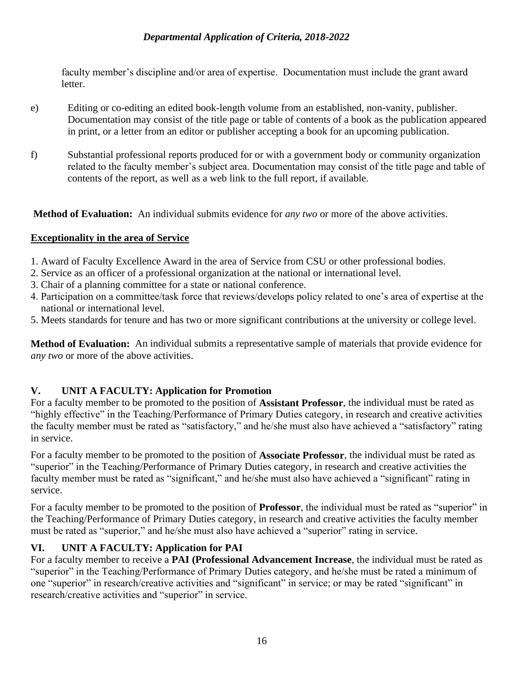faculty member's discipline and/or area of expertise. Documentation must include the grant award letter.

- e) Editing or co-editing an edited book-length volume from an established, non-vanity, publisher. Documentation may consist of the title page or table of contents of a book as the publication appeared in print, or a letter from an editor or publisher accepting a book for an upcoming publication.
- f) Substantial professional reports produced for or with a government body or community organization related to the faculty member's subject area. Documentation may consist of the title page and table of contents of the report, as well as a web link to the full report, if available.

**Method of Evaluation:** An individual submits evidence for *any two* or more of the above activities.

## **Exceptionality in the area of Service**

- 1. Award of Faculty Excellence Award in the area of Service from CSU or other professional bodies.
- 2. Service as an officer of a professional organization at the national or international level.
- 3. Chair of a planning committee for a state or national conference.
- 4. Participation on a committee/task force that reviews/develops policy related to one's area of expertise at the national or international level.
- 5. Meets standards for tenure and has two or more significant contributions at the university or college level.

**Method of Evaluation:** An individual submits a representative sample of materials that provide evidence for *any two* or more of the above activities.

## **V. UNIT A FACULTY: Application for Promotion**

For a faculty member to be promoted to the position of **Assistant Professor**, the individual must be rated as "highly effective" in the Teaching/Performance of Primary Duties category, in research and creative activities the faculty member must be rated as "satisfactory," and he/she must also have achieved a "satisfactory" rating in service.

For a faculty member to be promoted to the position of **Associate Professor**, the individual must be rated as "superior" in the Teaching/Performance of Primary Duties category, in research and creative activities the faculty member must be rated as "significant," and he/she must also have achieved a "significant" rating in service.

For a faculty member to be promoted to the position of **Professor**, the individual must be rated as "superior" in the Teaching/Performance of Primary Duties category, in research and creative activities the faculty member must be rated as "superior," and he/she must also have achieved a "superior" rating in service.

## **VI. UNIT A FACULTY: Application for PAI**

For a faculty member to receive a **PAI (Professional Advancement Increase**, the individual must be rated as "superior" in the Teaching/Performance of Primary Duties category, and he/she must be rated a minimum of one "superior" in research/creative activities and "significant" in service; or may be rated "significant" in research/creative activities and "superior" in service.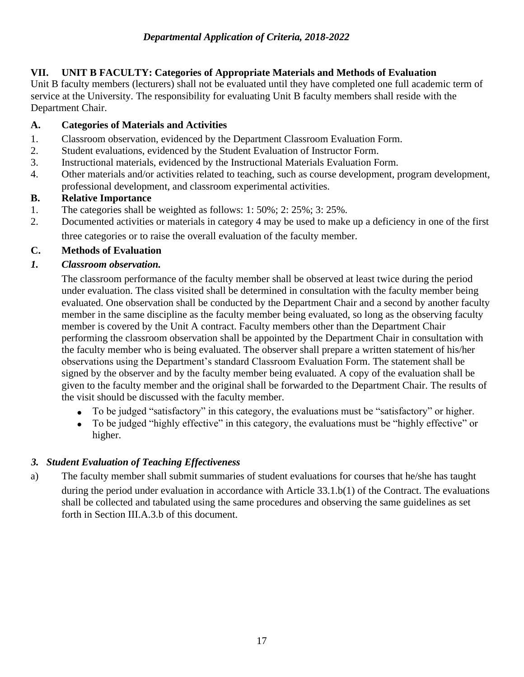## **VII. UNIT B FACULTY: Categories of Appropriate Materials and Methods of Evaluation**

Unit B faculty members (lecturers) shall not be evaluated until they have completed one full academic term of service at the University. The responsibility for evaluating Unit B faculty members shall reside with the Department Chair.

## **A. Categories of Materials and Activities**

- 1. Classroom observation, evidenced by the Department Classroom Evaluation Form.
- 2. Student evaluations, evidenced by the Student Evaluation of Instructor Form.
- 3. Instructional materials, evidenced by the Instructional Materials Evaluation Form.
- 4. Other materials and/or activities related to teaching, such as course development, program development, professional development, and classroom experimental activities.

## **B. Relative Importance**

- 1. The categories shall be weighted as follows: 1: 50%; 2: 25%; 3: 25%.
- 2. Documented activities or materials in category 4 may be used to make up a deficiency in one of the first three categories or to raise the overall evaluation of the faculty member.

## **C. Methods of Evaluation**

## *1. Classroom observation.*

The classroom performance of the faculty member shall be observed at least twice during the period under evaluation. The class visited shall be determined in consultation with the faculty member being evaluated. One observation shall be conducted by the Department Chair and a second by another faculty member in the same discipline as the faculty member being evaluated, so long as the observing faculty member is covered by the Unit A contract. Faculty members other than the Department Chair performing the classroom observation shall be appointed by the Department Chair in consultation with the faculty member who is being evaluated. The observer shall prepare a written statement of his/her observations using the Department's standard Classroom Evaluation Form. The statement shall be signed by the observer and by the faculty member being evaluated. A copy of the evaluation shall be given to the faculty member and the original shall be forwarded to the Department Chair. The results of the visit should be discussed with the faculty member.

- To be judged "satisfactory" in this category, the evaluations must be "satisfactory" or higher.
- To be judged "highly effective" in this category, the evaluations must be "highly effective" or higher.

## *3. Student Evaluation of Teaching Effectiveness*

a) The faculty member shall submit summaries of student evaluations for courses that he/she has taught

during the period under evaluation in accordance with Article 33.1.b(1) of the Contract. The evaluations shall be collected and tabulated using the same procedures and observing the same guidelines as set forth in Section III.A.3.b of this document.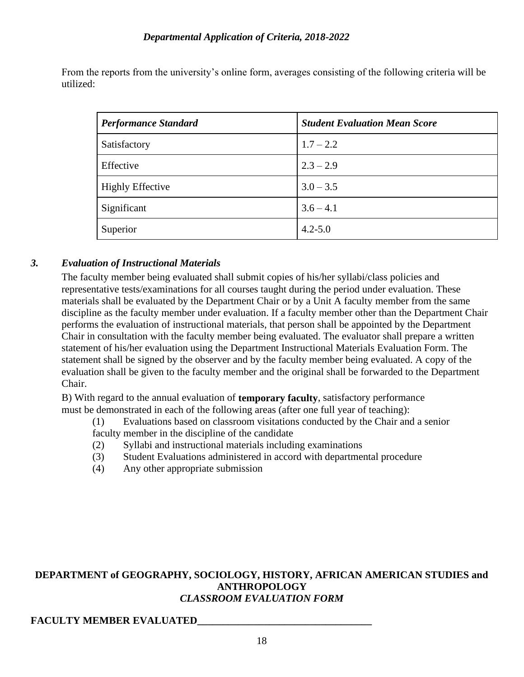From the reports from the university's online form, averages consisting of the following criteria will be utilized:

| <b>Performance Standard</b> | <b>Student Evaluation Mean Score</b> |
|-----------------------------|--------------------------------------|
| Satisfactory                | $1.7 - 2.2$                          |
| Effective                   | $2.3 - 2.9$                          |
| <b>Highly Effective</b>     | $3.0 - 3.5$                          |
| Significant                 | $3.6 - 4.1$                          |
| Superior                    | $4.2 - 5.0$                          |

## *3. Evaluation of Instructional Materials*

The faculty member being evaluated shall submit copies of his/her syllabi/class policies and representative tests/examinations for all courses taught during the period under evaluation. These materials shall be evaluated by the Department Chair or by a Unit A faculty member from the same discipline as the faculty member under evaluation. If a faculty member other than the Department Chair performs the evaluation of instructional materials, that person shall be appointed by the Department Chair in consultation with the faculty member being evaluated. The evaluator shall prepare a written statement of his/her evaluation using the Department Instructional Materials Evaluation Form. The statement shall be signed by the observer and by the faculty member being evaluated. A copy of the evaluation shall be given to the faculty member and the original shall be forwarded to the Department Chair.

B) With regard to the annual evaluation of **temporary faculty**, satisfactory performance must be demonstrated in each of the following areas (after one full year of teaching):

(1) Evaluations based on classroom visitations conducted by the Chair and a senior

- faculty member in the discipline of the candidate
- (2) Syllabi and instructional materials including examinations
- (3) Student Evaluations administered in accord with departmental procedure
- (4) Any other appropriate submission

#### **DEPARTMENT of GEOGRAPHY, SOCIOLOGY, HISTORY, AFRICAN AMERICAN STUDIES and ANTHROPOLOGY** *CLASSROOM EVALUATION FORM*

#### **FACULTY MEMBER EVALUATED\_\_\_\_\_\_\_\_\_\_\_\_\_\_\_\_\_\_\_\_\_\_\_\_\_\_\_\_\_\_\_\_\_\_**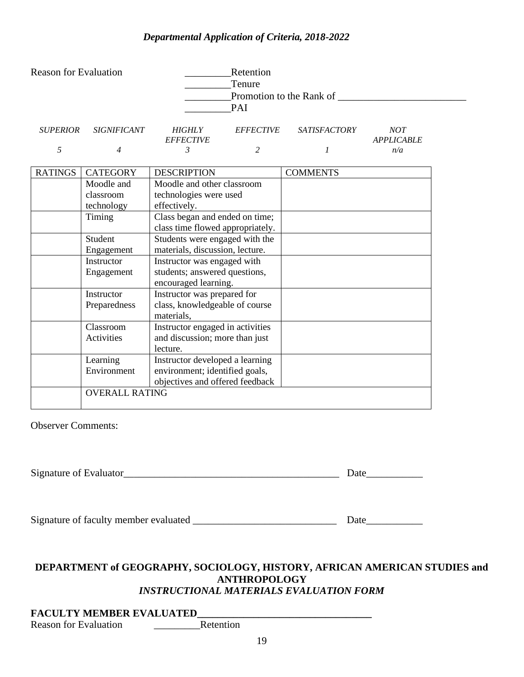| <b>Reason for Evaluation</b> |                       |                                                                   | Retention<br>Tenure<br>PAI | Promotion to the Rank of |                                 |
|------------------------------|-----------------------|-------------------------------------------------------------------|----------------------------|--------------------------|---------------------------------|
| <b>SUPERIOR</b>              | <b>SIGNIFICANT</b>    | <b>HIGHLY</b><br><b>EFFECTIVE</b>                                 | <b>EFFECTIVE</b>           | SATISFACTORY             | <b>NOT</b><br><b>APPLICABLE</b> |
| 5                            | $\overline{4}$        | 3                                                                 | $\overline{c}$             | 1                        | n/a                             |
| <b>RATINGS</b>               | <b>CATEGORY</b>       | <b>DESCRIPTION</b>                                                |                            | <b>COMMENTS</b>          |                                 |
|                              | Moodle and            | Moodle and other classroom                                        |                            |                          |                                 |
|                              | classroom             | technologies were used                                            |                            |                          |                                 |
|                              | technology            | effectively.                                                      |                            |                          |                                 |
|                              | Timing                | Class began and ended on time;                                    |                            |                          |                                 |
|                              |                       | class time flowed appropriately.                                  |                            |                          |                                 |
|                              | Student               | Students were engaged with the                                    |                            |                          |                                 |
|                              | Engagement            | materials, discussion, lecture.                                   |                            |                          |                                 |
|                              | Instructor            | Instructor was engaged with                                       |                            |                          |                                 |
|                              | Engagement            | students; answered questions,                                     |                            |                          |                                 |
|                              |                       | encouraged learning.                                              |                            |                          |                                 |
|                              | Instructor            | Instructor was prepared for                                       |                            |                          |                                 |
|                              | Preparedness          | class, knowledgeable of course                                    |                            |                          |                                 |
|                              |                       | materials,                                                        |                            |                          |                                 |
|                              | Classroom             | Instructor engaged in activities                                  |                            |                          |                                 |
|                              | Activities            | and discussion; more than just                                    |                            |                          |                                 |
|                              |                       | lecture.                                                          |                            |                          |                                 |
|                              | Learning              | Instructor developed a learning                                   |                            |                          |                                 |
|                              | Environment           | environment; identified goals,<br>objectives and offered feedback |                            |                          |                                 |
|                              | <b>OVERALL RATING</b> |                                                                   |                            |                          |                                 |
|                              |                       |                                                                   |                            |                          |                                 |

Observer Comments:

Signature of Evaluator\_\_\_\_\_\_\_\_\_\_\_\_\_\_\_\_\_\_\_\_\_\_\_\_\_\_\_\_\_\_\_\_\_\_\_\_\_\_\_\_\_\_ Date\_\_\_\_\_\_\_\_\_\_\_

Signature of faculty member evaluated \_\_\_\_\_\_\_\_\_\_\_\_\_\_\_\_\_\_\_\_\_\_\_\_\_\_\_\_ Date\_\_\_\_\_\_\_\_\_\_\_

# **DEPARTMENT of GEOGRAPHY, SOCIOLOGY, HISTORY, AFRICAN AMERICAN STUDIES and ANTHROPOLOGY**

## *INSTRUCTIONAL MATERIALS EVALUATION FORM*

## **FACULTY MEMBER EVALUATED\_\_\_\_\_\_\_\_\_\_\_\_\_\_\_\_\_\_\_\_\_\_\_\_\_\_\_\_\_\_\_\_\_\_**

Reason for Evaluation \_\_\_\_\_\_\_\_\_Retention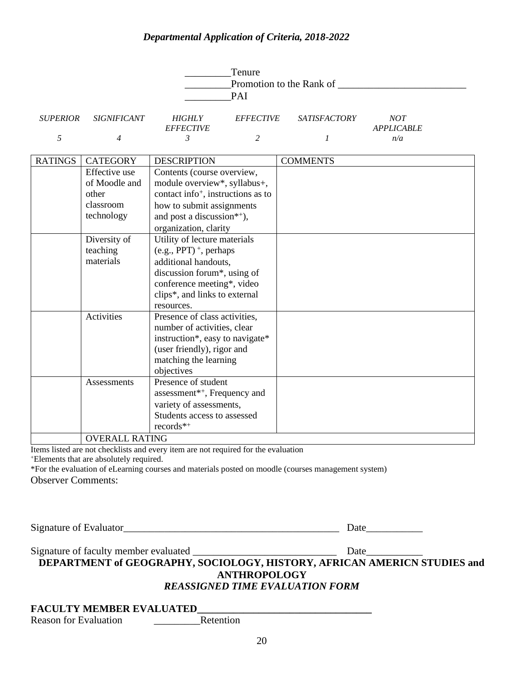| Tenure<br>Promotion to the Rank of<br><b>PAI</b> |                    |                                   |                  |                     |                          |
|--------------------------------------------------|--------------------|-----------------------------------|------------------|---------------------|--------------------------|
| <b>SUPERIOR</b>                                  | <i>SIGNIFICANT</i> | <b>HIGHLY</b><br><i>EFFECTIVE</i> | <i>EFFECTIVE</i> | <i>SATISFACTORY</i> | NOT<br><b>APPLICABLE</b> |
|                                                  | 4                  |                                   |                  |                     | n/a                      |

| <b>RATINGS</b> | <b>CATEGORY</b>       | <b>DESCRIPTION</b>                             | <b>COMMENTS</b> |
|----------------|-----------------------|------------------------------------------------|-----------------|
|                | Effective use         | Contents (course overview,                     |                 |
|                | of Moodle and         | module overview*, syllabus+,                   |                 |
|                | other                 | contact info <sup>+</sup> , instructions as to |                 |
|                | classroom             | how to submit assignments                      |                 |
|                | technology            | and post a discussion*+),                      |                 |
|                |                       | organization, clarity                          |                 |
|                | Diversity of          | Utility of lecture materials                   |                 |
|                | teaching              | $(e.g., PPT)$ <sup>+</sup> , perhaps           |                 |
|                | materials             | additional handouts,                           |                 |
|                |                       | discussion forum*, using of                    |                 |
|                |                       | conference meeting*, video                     |                 |
|                |                       | clips*, and links to external                  |                 |
|                |                       | resources.                                     |                 |
|                | Activities            | Presence of class activities,                  |                 |
|                |                       | number of activities, clear                    |                 |
|                |                       | instruction*, easy to navigate*                |                 |
|                |                       | (user friendly), rigor and                     |                 |
|                |                       | matching the learning                          |                 |
|                |                       | objectives                                     |                 |
|                | Assessments           | Presence of student                            |                 |
|                |                       | assessment* <sup>*+</sup> , Frequency and      |                 |
|                |                       | variety of assessments,                        |                 |
|                |                       | Students access to assessed                    |                 |
|                |                       | $records^{*+}$                                 |                 |
|                | <b>OVERALL RATING</b> |                                                |                 |

Items listed are not checklists and every item are not required for the evaluation <sup>+</sup>Elements that are absolutely required.

\*For the evaluation of eLearning courses and materials posted on moodle (courses management system) Observer Comments:

Signature of Evaluator\_\_\_\_\_\_\_\_\_\_\_\_\_\_\_\_\_\_\_\_\_\_\_\_\_\_\_\_\_\_\_\_\_\_\_\_\_\_\_\_\_\_ Date\_\_\_\_\_\_\_\_\_\_\_

Signature of faculty member evaluated \_\_\_\_\_\_\_\_\_\_\_\_\_\_\_\_\_\_\_\_\_\_\_\_\_\_\_\_ Date\_\_\_\_\_\_\_\_\_\_\_

**DEPARTMENT of GEOGRAPHY, SOCIOLOGY, HISTORY, AFRICAN AMERICN STUDIES and ANTHROPOLOGY**

#### *REASSIGNED TIME EVALUATION FORM*

#### **FACULTY MEMBER EVALUATED\_\_\_\_\_\_\_\_\_\_\_\_\_\_\_\_\_\_\_\_\_\_\_\_\_\_\_\_\_\_\_\_\_\_**

Reason for Evaluation \_\_\_\_\_\_\_\_\_Retention